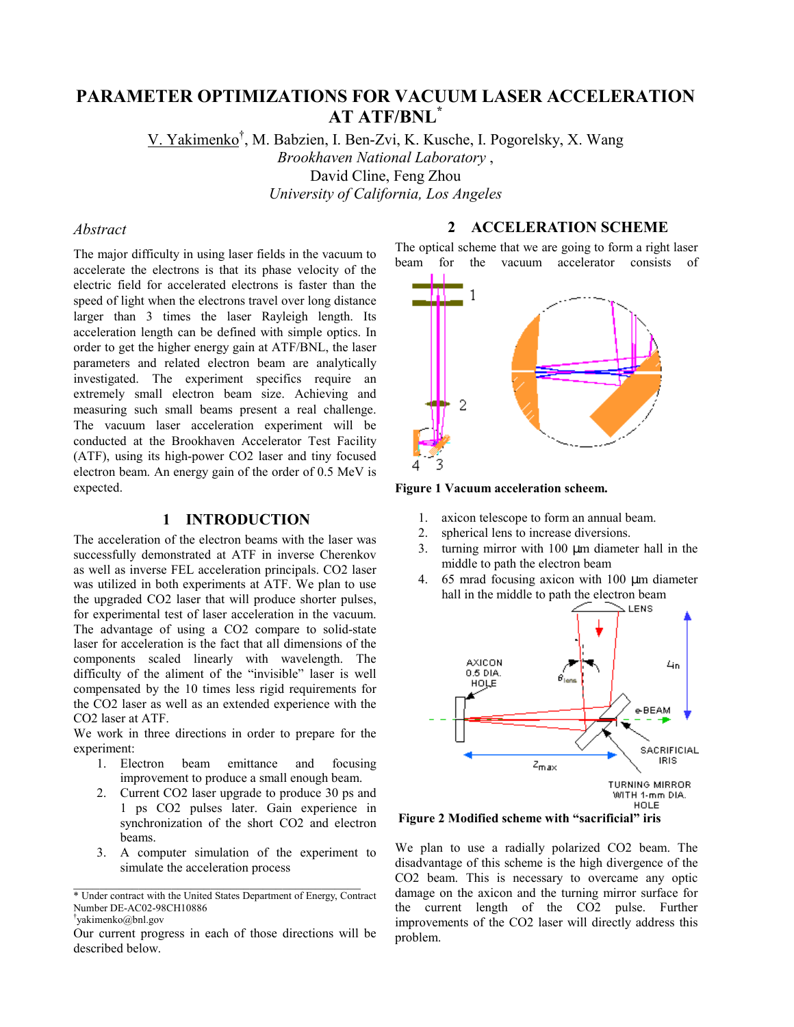# **PARAMETER OPTIMIZATIONS FOR VACUUM LASER ACCELERATION AT ATF/BNL\***

V. Yakimenko<sup>†</sup>, M. Babzien, I. Ben-Zvi, K. Kusche, I. Pogorelsky, X. Wang *Brookhaven National Laboratory* , David Cline, Feng Zhou *University of California, Los Angeles*

# *Abstract*

The major difficulty in using laser fields in the vacuum to accelerate the electrons is that its phase velocity of the electric field for accelerated electrons is faster than the speed of light when the electrons travel over long distance larger than 3 times the laser Rayleigh length. Its acceleration length can be defined with simple optics. In order to get the higher energy gain at ATF/BNL, the laser parameters and related electron beam are analytically investigated. The experiment specifics require an extremely small electron beam size. Achieving and measuring such small beams present a real challenge. The vacuum laser acceleration experiment will be conducted at the Brookhaven Accelerator Test Facility (ATF), using its high-power CO2 laser and tiny focused electron beam. An energy gain of the order of 0.5 MeV is expected.

# **1 INTRODUCTION**

The acceleration of the electron beams with the laser was successfully demonstrated at ATF in inverse Cherenkov as well as inverse FEL acceleration principals. CO2 laser was utilized in both experiments at ATF. We plan to use the upgraded CO2 laser that will produce shorter pulses, for experimental test of laser acceleration in the vacuum. The advantage of using a CO2 compare to solid-state laser for acceleration is the fact that all dimensions of the components scaled linearly with wavelength. The difficulty of the aliment of the "invisible" laser is well compensated by the 10 times less rigid requirements for the CO2 laser as well as an extended experience with the CO2 laser at ATF.

We work in three directions in order to prepare for the experiment:

- 1. Electron beam emittance and focusing improvement to produce a small enough beam.
- 2. Current CO2 laser upgrade to produce 30 ps and 1 ps CO2 pulses later. Gain experience in synchronization of the short CO2 and electron beams.
- 3. A computer simulation of the experiment to simulate the acceleration process

#### **2 ACCELERATION SCHEME**

The optical scheme that we are going to form a right laser beam for the vacuum accelerator consists of



**Figure 1 Vacuum acceleration scheem.** 

- 1. axicon telescope to form an annual beam.
- 2. spherical lens to increase diversions.
- 3. turning mirror with 100 µm diameter hall in the middle to path the electron beam
- 4. 65 mrad focusing axicon with 100 µm diameter hall in the middle to path the electron beam



Figure 2 Modified scheme with "sacrificial" iris

We plan to use a radially polarized CO2 beam. The disadvantage of this scheme is the high divergence of the CO2 beam. This is necessary to overcame any optic damage on the axicon and the turning mirror surface for the current length of the CO2 pulse. Further improvements of the CO2 laser will directly address this problem.

<sup>\*</sup> Under contract with the United States Department of Energy, Contract Number DE-AC02-98CH10886 Ü yakimenko@bnl.gov

Our current progress in each of those directions will be described below.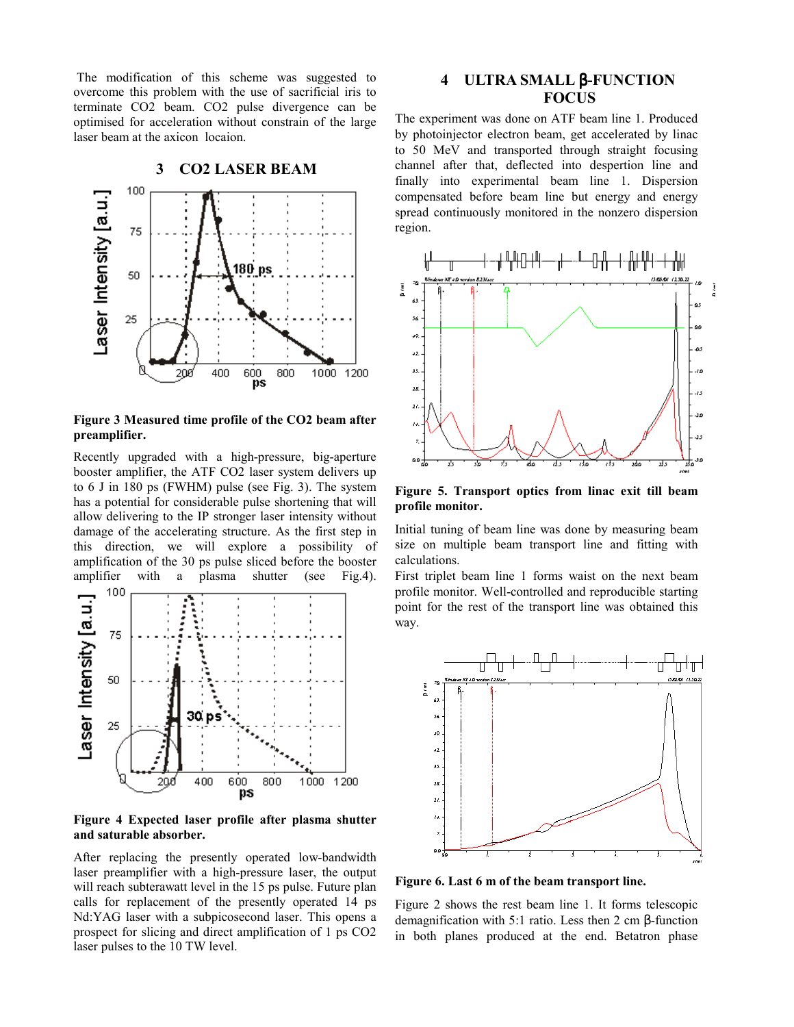The modification of this scheme was suggested to overcome this problem with the use of sacrificial iris to terminate CO2 beam. CO2 pulse divergence can be optimised for acceleration without constrain of the large laser beam at the axicon locaion.



**Figure 3 Measured time profile of the CO2 beam after preamplifier.** 

Recently upgraded with a high-pressure, big-aperture booster amplifier, the ATF CO2 laser system delivers up to 6 J in 180 ps (FWHM) pulse (see Fig. 3). The system has a potential for considerable pulse shortening that will allow delivering to the IP stronger laser intensity without damage of the accelerating structure. As the first step in this direction, we will explore a possibility of amplification of the 30 ps pulse sliced before the booster amplifier with a plasma shutter (see Fig.4).



**Figure 4 Expected laser profile after plasma shutter and saturable absorber.** 

After replacing the presently operated low-bandwidth laser preamplifier with a high-pressure laser, the output will reach subterawatt level in the 15 ps pulse. Future plan calls for replacement of the presently operated 14 ps Nd:YAG laser with a subpicosecond laser. This opens a prospect for slicing and direct amplification of 1 ps CO2 laser pulses to the 10 TW level.

# **4 ULTRA SMALL** β**-FUNCTION FOCUS**

The experiment was done on ATF beam line 1. Produced by photoinjector electron beam, get accelerated by linac to 50 MeV and transported through straight focusing channel after that, deflected into despertion line and finally into experimental beam line 1. Dispersion compensated before beam line but energy and energy spread continuously monitored in the nonzero dispersion region.



**Figure 5. Transport optics from linac exit till beam profile monitor.** 

Initial tuning of beam line was done by measuring beam size on multiple beam transport line and fitting with calculations.

First triplet beam line 1 forms waist on the next beam profile monitor. Well-controlled and reproducible starting point for the rest of the transport line was obtained this way.



**Figure 6. Last 6 m of the beam transport line.** 

Figure 2 shows the rest beam line 1. It forms telescopic demagnification with 5:1 ratio. Less then 2 cm β-function in both planes produced at the end. Betatron phase